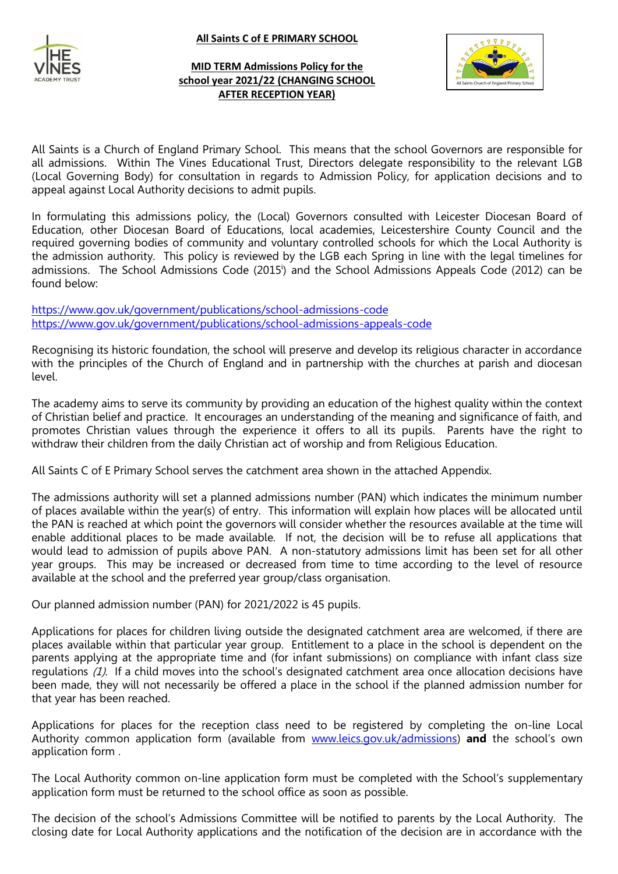#### **All Saints C of E PRIMARY SCHOOL**



### **MID TERM Admissions Policy for the school year 2021/22 (CHANGING SCHOOL AFTER RECEPTION YEAR)**



All Saints is a Church of England Primary School. This means that the school Governors are responsible for all admissions. Within The Vines Educational Trust, Directors delegate responsibility to the relevant LGB (Local Governing Body) for consultation in regards to Admission Policy, for application decisions and to appeal against Local Authority decisions to admit pupils.

In formulating this admissions policy, the (Local) Governors consulted with Leicester Diocesan Board of Education, other Diocesan Board of Educations, local academies, Leicestershire County Council and the required governing bodies of community and voluntary controlled schools for which the Local Authority is the admission authority. This policy is reviewed by the LGB each Spring in line with the legal timelines for admissions. The School Admissions Code (2015<sup>i</sup>) and the School Admissions Appeals Code (2012) can be found below:

<https://www.gov.uk/government/publications/school-admissions-code> <https://www.gov.uk/government/publications/school-admissions-appeals-code>

Recognising its historic foundation, the school will preserve and develop its religious character in accordance with the principles of the Church of England and in partnership with the churches at parish and diocesan level.

The academy aims to serve its community by providing an education of the highest quality within the context of Christian belief and practice. It encourages an understanding of the meaning and significance of faith, and promotes Christian values through the experience it offers to all its pupils. Parents have the right to withdraw their children from the daily Christian act of worship and from Religious Education.

All Saints C of E Primary School serves the catchment area shown in the attached Appendix.

The admissions authority will set a planned admissions number (PAN) which indicates the minimum number of places available within the year(s) of entry. This information will explain how places will be allocated until the PAN is reached at which point the governors will consider whether the resources available at the time will enable additional places to be made available. If not, the decision will be to refuse all applications that would lead to admission of pupils above PAN. A non-statutory admissions limit has been set for all other year groups. This may be increased or decreased from time to time according to the level of resource available at the school and the preferred year group/class organisation.

Our planned admission number (PAN) for 2021/2022 is 45 pupils.

Applications for places for children living outside the designated catchment area are welcomed, if there are places available within that particular year group. Entitlement to a place in the school is dependent on the parents applying at the appropriate time and (for infant submissions) on compliance with infant class size regulations (1). If a child moves into the school's designated catchment area once allocation decisions have been made, they will not necessarily be offered a place in the school if the planned admission number for that year has been reached.

Applications for places for the reception class need to be registered by completing the on-line Local Authority common application form (available from [www.leics.gov.uk/admissions\)](http://www.leics.gov.uk/admissions) **and** the school's own application form .

The Local Authority common on-line application form must be completed with the School's supplementary application form must be returned to the school office as soon as possible.

The decision of the school's Admissions Committee will be notified to parents by the Local Authority. The closing date for Local Authority applications and the notification of the decision are in accordance with the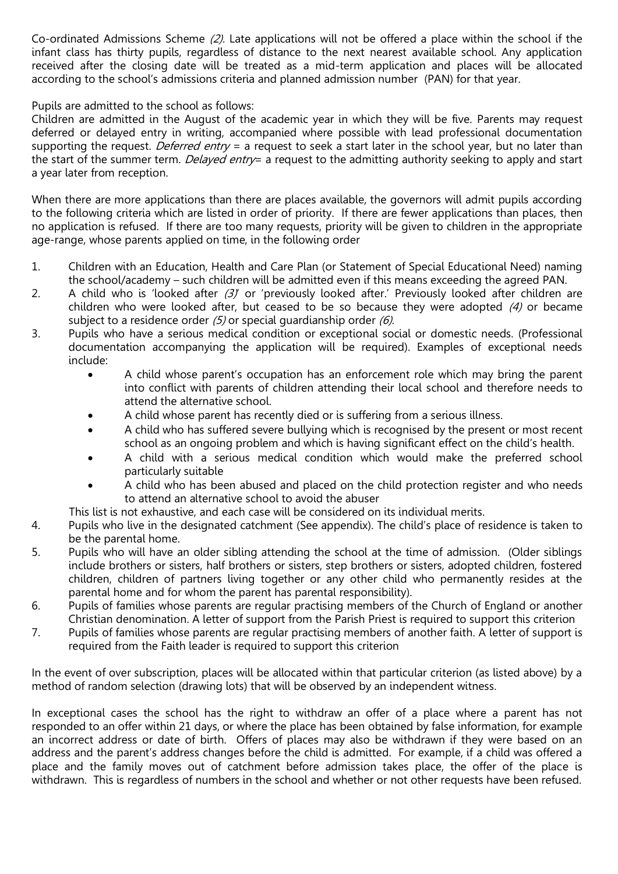Co-ordinated Admissions Scheme (2). Late applications will not be offered a place within the school if the infant class has thirty pupils, regardless of distance to the next nearest available school. Any application received after the closing date will be treated as a mid-term application and places will be allocated according to the school's admissions criteria and planned admission number (PAN) for that year.

Pupils are admitted to the school as follows:

Children are admitted in the August of the academic year in which they will be five. Parents may request deferred or delayed entry in writing, accompanied where possible with lead professional documentation supporting the request. Deferred entry = a request to seek a start later in the school year, but no later than the start of the summer term. *Delayed entry*= a request to the admitting authority seeking to apply and start a year later from reception.

When there are more applications than there are places available, the governors will admit pupils according to the following criteria which are listed in order of priority. If there are fewer applications than places, then no application is refused. If there are too many requests, priority will be given to children in the appropriate age-range, whose parents applied on time, in the following order

- 1. Children with an Education, Health and Care Plan (or Statement of Special Educational Need) naming the school/academy – such children will be admitted even if this means exceeding the agreed PAN.
- 2. A child who is 'looked after  $(3)$ ' or 'previously looked after.' Previously looked after children are children who were looked after, but ceased to be so because they were adopted (4) or became subject to a residence order  $(5)$  or special guardianship order  $(6)$ .
- 3. Pupils who have a serious medical condition or exceptional social or domestic needs. (Professional documentation accompanying the application will be required). Examples of exceptional needs include:
	- A child whose parent's occupation has an enforcement role which may bring the parent into conflict with parents of children attending their local school and therefore needs to attend the alternative school.
	- A child whose parent has recently died or is suffering from a serious illness.
	- A child who has suffered severe bullying which is recognised by the present or most recent school as an ongoing problem and which is having significant effect on the child's health.
	- A child with a serious medical condition which would make the preferred school particularly suitable
	- A child who has been abused and placed on the child protection register and who needs to attend an alternative school to avoid the abuser

This list is not exhaustive, and each case will be considered on its individual merits.

- 4. Pupils who live in the designated catchment (See appendix). The child's place of residence is taken to be the parental home.
- 5. Pupils who will have an older sibling attending the school at the time of admission. (Older siblings include brothers or sisters, half brothers or sisters, step brothers or sisters, adopted children, fostered children, children of partners living together or any other child who permanently resides at the parental home and for whom the parent has parental responsibility).
- 6. Pupils of families whose parents are regular practising members of the Church of England or another Christian denomination. A letter of support from the Parish Priest is required to support this criterion
- 7. Pupils of families whose parents are regular practising members of another faith. A letter of support is required from the Faith leader is required to support this criterion

In the event of over subscription, places will be allocated within that particular criterion (as listed above) by a method of random selection (drawing lots) that will be observed by an independent witness.

In exceptional cases the school has the right to withdraw an offer of a place where a parent has not responded to an offer within 21 days, or where the place has been obtained by false information, for example an incorrect address or date of birth. Offers of places may also be withdrawn if they were based on an address and the parent's address changes before the child is admitted. For example, if a child was offered a place and the family moves out of catchment before admission takes place, the offer of the place is withdrawn. This is regardless of numbers in the school and whether or not other requests have been refused.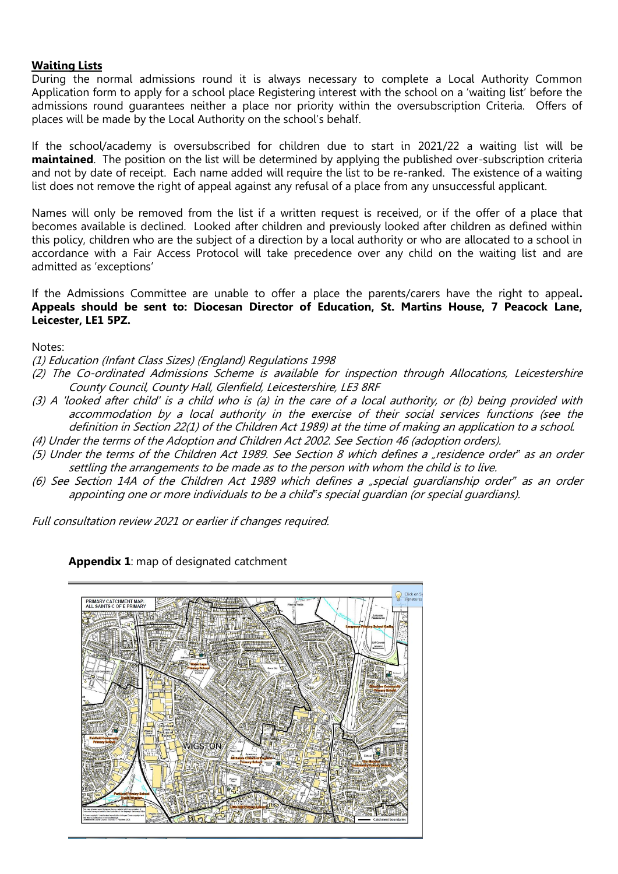### **Waiting Lists**

During the normal admissions round it is always necessary to complete a Local Authority Common Application form to apply for a school place Registering interest with the school on a 'waiting list' before the admissions round guarantees neither a place nor priority within the oversubscription Criteria. Offers of places will be made by the Local Authority on the school's behalf.

If the school/academy is oversubscribed for children due to start in 2021/22 a waiting list will be **maintained**. The position on the list will be determined by applying the published over-subscription criteria and not by date of receipt. Each name added will require the list to be re-ranked. The existence of a waiting list does not remove the right of appeal against any refusal of a place from any unsuccessful applicant.

Names will only be removed from the list if a written request is received, or if the offer of a place that becomes available is declined. Looked after children and previously looked after children as defined within this policy, children who are the subject of a direction by a local authority or who are allocated to a school in accordance with a Fair Access Protocol will take precedence over any child on the waiting list and are admitted as 'exceptions'

If the Admissions Committee are unable to offer a place the parents/carers have the right to appeal**. Appeals should be sent to: Diocesan Director of Education, St. Martins House, 7 Peacock Lane, Leicester, LE1 5PZ.** 

Notes:

- (1) Education (Infant Class Sizes) (England) Regulations 1998
- (2) The Co-ordinated Admissions Scheme is available for inspection through Allocations, Leicestershire County Council, County Hall, Glenfield, Leicestershire, LE3 8RF
- (3) A 'looked after child' is a child who is (a) in the care of a local authority, or (b) being provided with accommodation by a local authority in the exercise of their social services functions (see the definition in Section 22(1) of the Children Act 1989) at the time of making an application to a school.
- (4) Under the terms of the Adoption and Children Act 2002. See Section 46 (adoption orders).
- (5) Under the terms of the Children Act 1989. See Section 8 which defines a "residence order*"* as an order settling the arrangements to be made as to the person with whom the child is to live.
- (6) See Section 14A of the Children Act 1989 which defines a "special guardianship order*"* as an order appointing one or more individuals to be a child*"*s special guardian (or special guardians).

Full consultation review 2021 or earlier if changes required.

**Appendix 1**: map of designated catchment

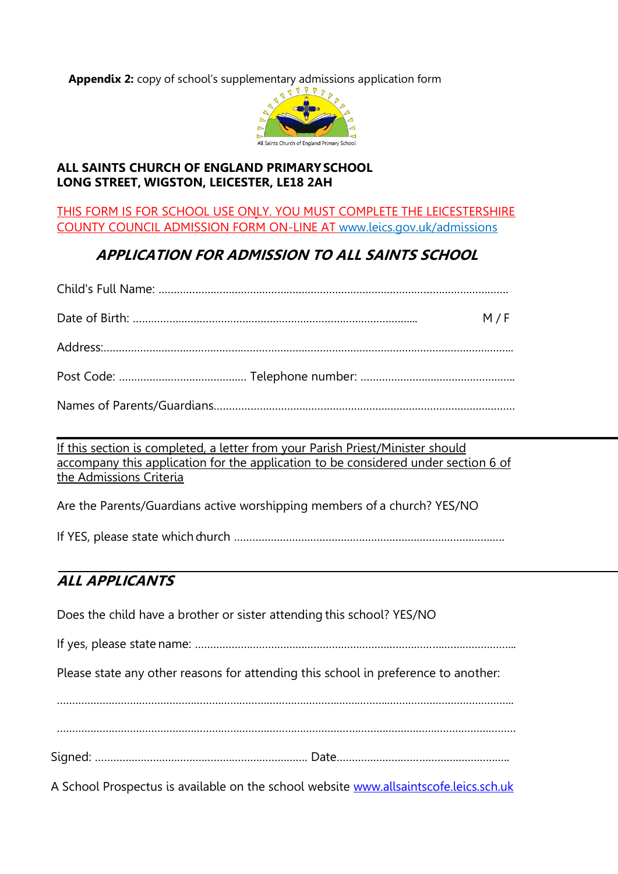**Appendix 2:** copy of school's supplementary admissions application form



## **ALL SAINTS CHURCH OF ENGLAND PRIMARYSCHOOL LONG STREET, WIGSTON, LEICESTER, LE18 2AH**

THIS FORM IS FOR SCHOOL USE ONLY. YOU MUST COMPLETE THE LEICESTERSHIRE COUNTY COUNCIL ADMISSION FORM ON-LINE AT [www.leics.gov.uk/admissions](http://www.leics.gov.uk/admissions)

# **APPLICATION FOR ADMISSION TO ALL SAINTS SCHOOL**

| M/F |
|-----|
|     |
|     |
|     |

If this section is completed, a letter from your Parish Priest/Minister should accompany this application for the application to be considered under section 6 of the Admissions Criteria

Are the Parents/Guardians active worshipping members of a church? YES/NO

If YES, please state which church ……………………………………………………………………………..

# **ALL APPLICANTS**

Does the child have a brother or sister attending this school? YES/NO

If yes, please state name: ……………………………………………………………………….…………………...

Please state any other reasons for attending this school in preference to another:

………………………………………………………………………………..…….………..…………………………………..

…………………………………………………………………………………………………….………………………………

Signed: ……………………………………………………………. Date………………………………….……………..

A School Prospectus is available on the school website [www.allsaintscofe.leics.sch.uk](http://www.allsaintscofe.leics.sch.uk/)